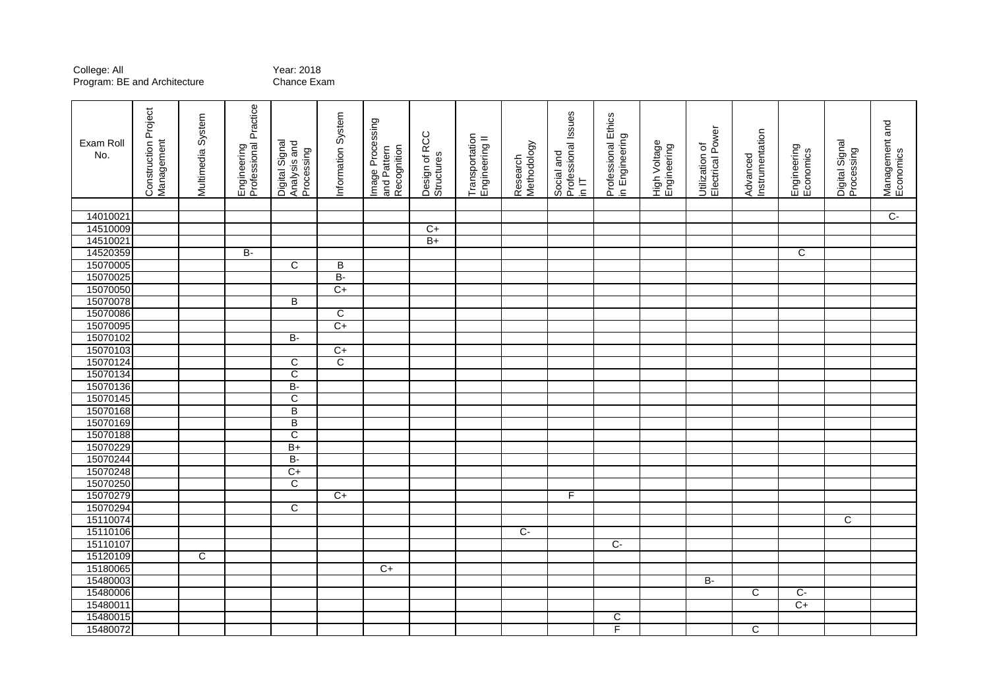## College: All<br>Program: BE and Architecture **Chance Exam** Program: BE and Architecture

| Engineering<br>Professional Practice<br><b>Construction Project</b><br>Professional Issues<br>Information System<br>Professional Ethics<br>Multimedia System<br>Image Processing<br>Design of RCC<br>in Engineering<br>Transportation<br>Engineering II<br>Management<br>Exam Roll<br>Digital Signal<br>Analysis and<br>High Voltage<br>Engineering<br>Methodology<br>and Pattern<br>Recognition<br>Processing<br>Social and<br>No.<br>Structures<br>Research<br>$\frac{1}{2}$ | Electrical Power<br>Instrumentation<br>Utilization of<br>Advanced | Digital Signal<br>Processing<br>Engineering<br>Economics | Management and<br>Economics |
|--------------------------------------------------------------------------------------------------------------------------------------------------------------------------------------------------------------------------------------------------------------------------------------------------------------------------------------------------------------------------------------------------------------------------------------------------------------------------------|-------------------------------------------------------------------|----------------------------------------------------------|-----------------------------|
|                                                                                                                                                                                                                                                                                                                                                                                                                                                                                |                                                                   |                                                          |                             |
| 14010021                                                                                                                                                                                                                                                                                                                                                                                                                                                                       |                                                                   |                                                          | $\overline{C}$              |
| 14510009<br>$\overline{C}$                                                                                                                                                                                                                                                                                                                                                                                                                                                     |                                                                   |                                                          |                             |
| 14510021<br>$B+$                                                                                                                                                                                                                                                                                                                                                                                                                                                               |                                                                   |                                                          |                             |
| 14520359<br>B-                                                                                                                                                                                                                                                                                                                                                                                                                                                                 |                                                                   | $\overline{C}$                                           |                             |
| 15070005<br>$\overline{C}$<br>B                                                                                                                                                                                                                                                                                                                                                                                                                                                |                                                                   |                                                          |                             |
| 15070025<br>$B -$                                                                                                                                                                                                                                                                                                                                                                                                                                                              |                                                                   |                                                          |                             |
| 15070050<br>$C+$                                                                                                                                                                                                                                                                                                                                                                                                                                                               |                                                                   |                                                          |                             |
| 15070078<br>B                                                                                                                                                                                                                                                                                                                                                                                                                                                                  |                                                                   |                                                          |                             |
| 15070086<br>C<br>$C+$                                                                                                                                                                                                                                                                                                                                                                                                                                                          |                                                                   |                                                          |                             |
| 15070095                                                                                                                                                                                                                                                                                                                                                                                                                                                                       |                                                                   |                                                          |                             |
| 15070102<br><b>B-</b>                                                                                                                                                                                                                                                                                                                                                                                                                                                          |                                                                   |                                                          |                             |
| 15070103<br>$C+$<br>$\overline{\text{c}}$                                                                                                                                                                                                                                                                                                                                                                                                                                      |                                                                   |                                                          |                             |
| 15070124<br>C<br>15070134<br>$\overline{\text{c}}$                                                                                                                                                                                                                                                                                                                                                                                                                             |                                                                   |                                                          |                             |
| 15070136<br>B-                                                                                                                                                                                                                                                                                                                                                                                                                                                                 |                                                                   |                                                          |                             |
| $\overline{\mathsf{c}}$<br>15070145                                                                                                                                                                                                                                                                                                                                                                                                                                            |                                                                   |                                                          |                             |
| 15070168<br>В                                                                                                                                                                                                                                                                                                                                                                                                                                                                  |                                                                   |                                                          |                             |
| 15070169<br>$\overline{\mathsf{B}}$                                                                                                                                                                                                                                                                                                                                                                                                                                            |                                                                   |                                                          |                             |
| 15070188<br>$\overline{\text{c}}$                                                                                                                                                                                                                                                                                                                                                                                                                                              |                                                                   |                                                          |                             |
| 15070229<br>$B+$                                                                                                                                                                                                                                                                                                                                                                                                                                                               |                                                                   |                                                          |                             |
| 15070244<br>B-                                                                                                                                                                                                                                                                                                                                                                                                                                                                 |                                                                   |                                                          |                             |
| 15070248<br>$C+$                                                                                                                                                                                                                                                                                                                                                                                                                                                               |                                                                   |                                                          |                             |
| 15070250<br>$\overline{\text{c}}$                                                                                                                                                                                                                                                                                                                                                                                                                                              |                                                                   |                                                          |                             |
| 15070279<br>F<br>$C+$                                                                                                                                                                                                                                                                                                                                                                                                                                                          |                                                                   |                                                          |                             |
| 15070294<br>C                                                                                                                                                                                                                                                                                                                                                                                                                                                                  |                                                                   |                                                          |                             |
| 15110074                                                                                                                                                                                                                                                                                                                                                                                                                                                                       |                                                                   | $\overline{C}$                                           |                             |
| 15110106<br>$C -$                                                                                                                                                                                                                                                                                                                                                                                                                                                              |                                                                   |                                                          |                             |
| 15110107<br>$C -$                                                                                                                                                                                                                                                                                                                                                                                                                                                              |                                                                   |                                                          |                             |
| 15120109<br>C                                                                                                                                                                                                                                                                                                                                                                                                                                                                  |                                                                   |                                                          |                             |
| 15180065<br>$C+$                                                                                                                                                                                                                                                                                                                                                                                                                                                               |                                                                   |                                                          |                             |
| 15480003                                                                                                                                                                                                                                                                                                                                                                                                                                                                       | B-                                                                |                                                          |                             |
| 15480006                                                                                                                                                                                                                                                                                                                                                                                                                                                                       | $\overline{\text{c}}$                                             | $\overline{C}$                                           |                             |
| 15480011                                                                                                                                                                                                                                                                                                                                                                                                                                                                       |                                                                   | $C+$                                                     |                             |
| 15480015<br>C                                                                                                                                                                                                                                                                                                                                                                                                                                                                  |                                                                   |                                                          |                             |
| F<br>15480072                                                                                                                                                                                                                                                                                                                                                                                                                                                                  | C                                                                 |                                                          |                             |